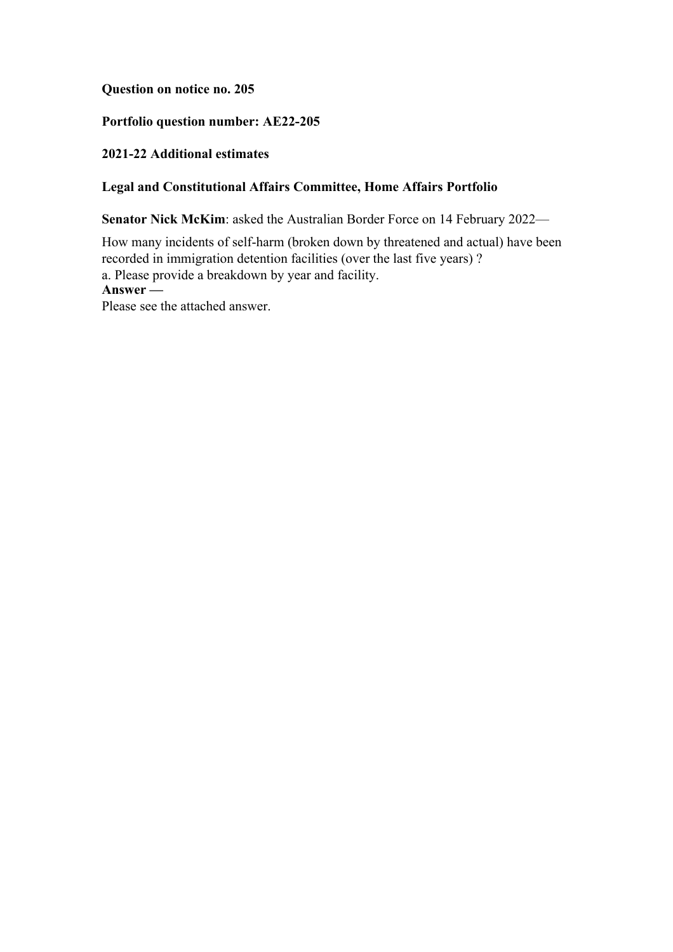**Question on notice no. 205**

## **Portfolio question number: AE22-205**

## **2021-22 Additional estimates**

## **Legal and Constitutional Affairs Committee, Home Affairs Portfolio**

**Senator Nick McKim**: asked the Australian Border Force on 14 February 2022—

How many incidents of self-harm (broken down by threatened and actual) have been recorded in immigration detention facilities (over the last five years) ? a. Please provide a breakdown by year and facility. **Answer —** Please see the attached answer.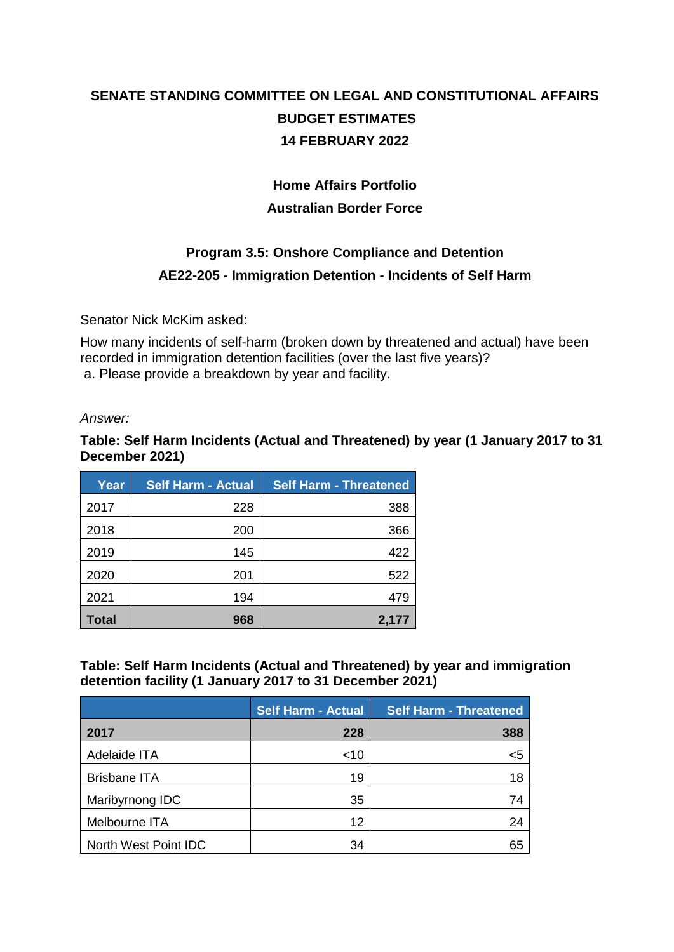# **SENATE STANDING COMMITTEE ON LEGAL AND CONSTITUTIONAL AFFAIRS BUDGET ESTIMATES 14 FEBRUARY 2022**

## **Home Affairs Portfolio Australian Border Force**

# **Program 3.5: Onshore Compliance and Detention AE22-205 - Immigration Detention - Incidents of Self Harm**

Senator Nick McKim asked:

How many incidents of self-harm (broken down by threatened and actual) have been recorded in immigration detention facilities (over the last five years)? a. Please provide a breakdown by year and facility.

#### *Answer:*

**Table: Self Harm Incidents (Actual and Threatened) by year (1 January 2017 to 31 December 2021)**

| Year         | <b>Self Harm - Actual</b> | <b>Self Harm - Threatened</b> |
|--------------|---------------------------|-------------------------------|
| 2017         | 228                       | 388                           |
| 2018         | 200                       | 366                           |
| 2019         | 145                       | 422                           |
| 2020         | 201                       | 522                           |
| 2021         | 194                       | 479                           |
| <b>Total</b> | 968                       | 2,177                         |

### **Table: Self Harm Incidents (Actual and Threatened) by year and immigration detention facility (1 January 2017 to 31 December 2021)**

|                      | <b>Self Harm - Actual</b> | <b>Self Harm - Threatened</b> |
|----------------------|---------------------------|-------------------------------|
| 2017                 | 228                       | 388                           |
| Adelaide ITA         | ~10                       | <5                            |
| <b>Brisbane ITA</b>  | 19                        | 18                            |
| Maribyrnong IDC      | 35                        | 74                            |
| Melbourne ITA        | 12                        | 24                            |
| North West Point IDC | 34                        | 65                            |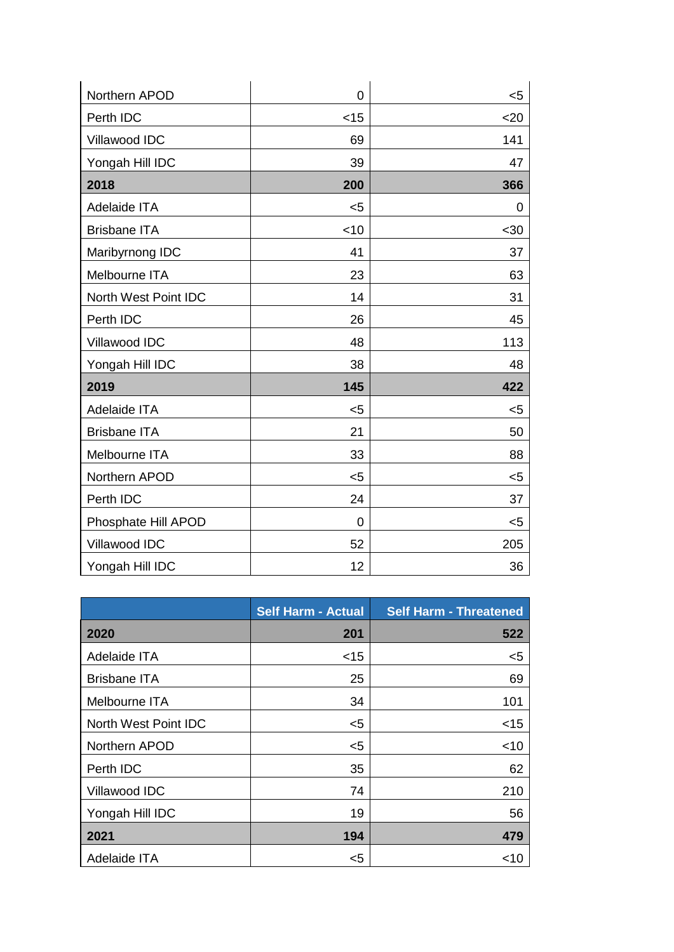| Northern APOD        | $\overline{0}$ | $5$  |
|----------------------|----------------|------|
| Perth IDC            | $<$ 15         | $20$ |
| Villawood IDC        | 69             | 141  |
| Yongah Hill IDC      | 39             | 47   |
| 2018                 | 200            | 366  |
| Adelaide ITA         | $5$            | 0    |
| <b>Brisbane ITA</b>  | $<$ 10         | $30$ |
| Maribyrnong IDC      | 41             | 37   |
| Melbourne ITA        | 23             | 63   |
| North West Point IDC | 14             | 31   |
| Perth IDC            | 26             | 45   |
| Villawood IDC        | 48             | 113  |
| Yongah Hill IDC      | 38             | 48   |
| 2019                 | 145            | 422  |
| Adelaide ITA         | $5$            | $5$  |
| <b>Brisbane ITA</b>  | 21             | 50   |
| Melbourne ITA        | 33             | 88   |
| Northern APOD        | $5$            | $5$  |
| Perth IDC            | 24             | 37   |
| Phosphate Hill APOD  | 0              | <5   |
| Villawood IDC        | 52             | 205  |
| Yongah Hill IDC      | 12             | 36   |

|                      | <b>Self Harm - Actual</b> | <b>Self Harm - Threatened</b> |
|----------------------|---------------------------|-------------------------------|
| 2020                 | 201                       | 522                           |
| Adelaide ITA         | <15                       | <5                            |
| <b>Brisbane ITA</b>  | 25                        | 69                            |
| Melbourne ITA        | 34                        | 101                           |
| North West Point IDC | <5                        | $<$ 15                        |
| Northern APOD        | <5                        | $<$ 10                        |
| Perth IDC            | 35                        | 62                            |
| Villawood IDC        | 74                        | 210                           |
| Yongah Hill IDC      | 19                        | 56                            |
| 2021                 | 194                       | 479                           |
| Adelaide ITA         | $5$                       | ~10                           |